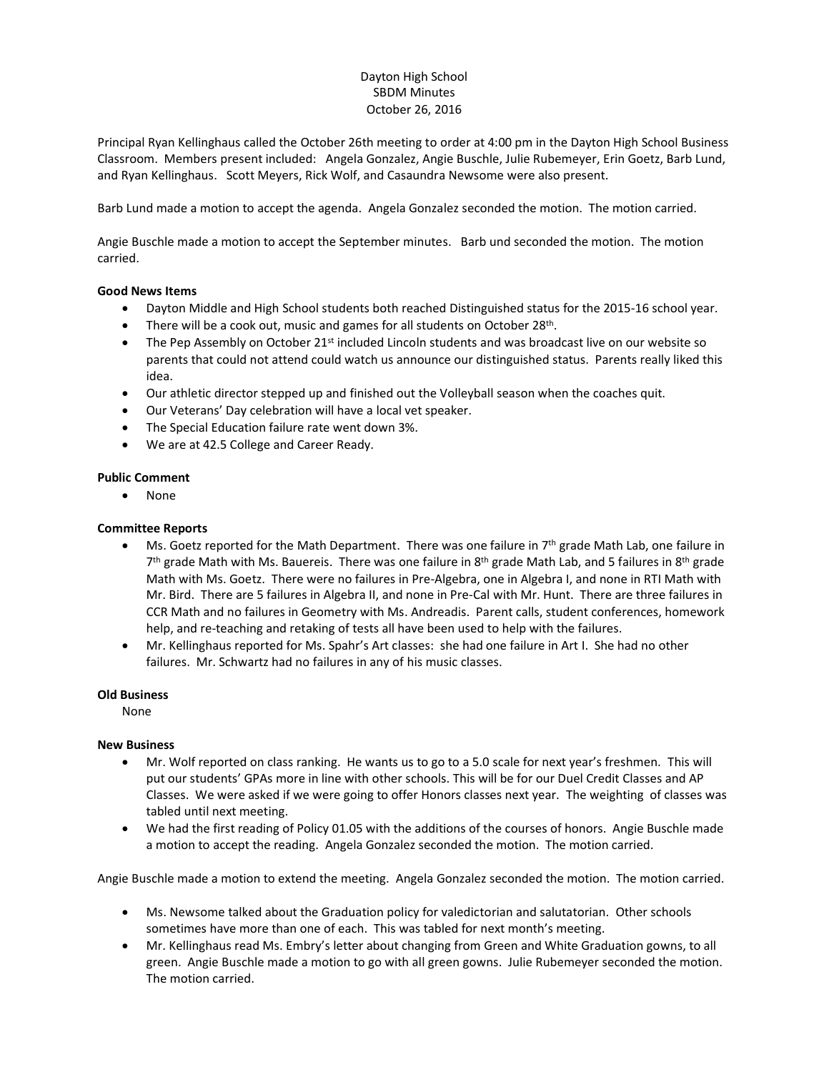# Dayton High School SBDM Minutes October 26, 2016

Principal Ryan Kellinghaus called the October 26th meeting to order at 4:00 pm in the Dayton High School Business Classroom. Members present included: Angela Gonzalez, Angie Buschle, Julie Rubemeyer, Erin Goetz, Barb Lund, and Ryan Kellinghaus. Scott Meyers, Rick Wolf, and Casaundra Newsome were also present.

Barb Lund made a motion to accept the agenda. Angela Gonzalez seconded the motion. The motion carried.

Angie Buschle made a motion to accept the September minutes. Barb und seconded the motion. The motion carried.

## **Good News Items**

- Dayton Middle and High School students both reached Distinguished status for the 2015-16 school year.
- There will be a cook out, music and games for all students on October 28<sup>th</sup>.
- The Pep Assembly on October  $21^{st}$  included Lincoln students and was broadcast live on our website so parents that could not attend could watch us announce our distinguished status. Parents really liked this idea.
- Our athletic director stepped up and finished out the Volleyball season when the coaches quit.
- Our Veterans' Day celebration will have a local vet speaker.
- The Special Education failure rate went down 3%.
- We are at 42.5 College and Career Ready.

#### **Public Comment**

None

## **Committee Reports**

- Ms. Goetz reported for the Math Department. There was one failure in 7th grade Math Lab, one failure in 7<sup>th</sup> grade Math with Ms. Bauereis. There was one failure in 8<sup>th</sup> grade Math Lab, and 5 failures in 8<sup>th</sup> grade Math with Ms. Goetz. There were no failures in Pre-Algebra, one in Algebra I, and none in RTI Math with Mr. Bird. There are 5 failures in Algebra II, and none in Pre-Cal with Mr. Hunt. There are three failures in CCR Math and no failures in Geometry with Ms. Andreadis. Parent calls, student conferences, homework help, and re-teaching and retaking of tests all have been used to help with the failures.
- Mr. Kellinghaus reported for Ms. Spahr's Art classes: she had one failure in Art I. She had no other failures. Mr. Schwartz had no failures in any of his music classes.

#### **Old Business**

None

## **New Business**

- Mr. Wolf reported on class ranking. He wants us to go to a 5.0 scale for next year's freshmen. This will put our students' GPAs more in line with other schools. This will be for our Duel Credit Classes and AP Classes. We were asked if we were going to offer Honors classes next year. The weighting of classes was tabled until next meeting.
- We had the first reading of Policy 01.05 with the additions of the courses of honors. Angie Buschle made a motion to accept the reading. Angela Gonzalez seconded the motion. The motion carried.

Angie Buschle made a motion to extend the meeting. Angela Gonzalez seconded the motion. The motion carried.

- Ms. Newsome talked about the Graduation policy for valedictorian and salutatorian. Other schools sometimes have more than one of each. This was tabled for next month's meeting.
- Mr. Kellinghaus read Ms. Embry's letter about changing from Green and White Graduation gowns, to all green. Angie Buschle made a motion to go with all green gowns. Julie Rubemeyer seconded the motion. The motion carried.